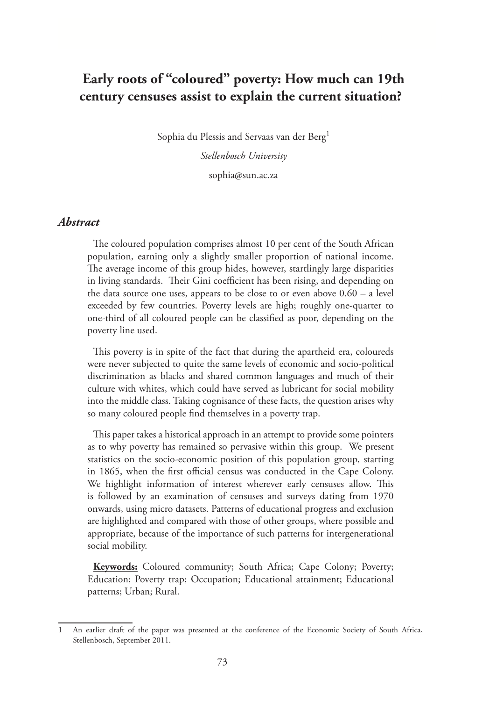# **Early roots of "coloured" poverty: How much can 19th century censuses assist to explain the current situation?**

Sophia du Plessis and Servaas van der Berg<sup>1</sup>

*Stellenbosch University* sophia@sun.ac.za

#### *Abstract*

The coloured population comprises almost 10 per cent of the South African population, earning only a slightly smaller proportion of national income. The average income of this group hides, however, startlingly large disparities in living standards. Their Gini coefficient has been rising, and depending on the data source one uses, appears to be close to or even above 0.60 – a level exceeded by few countries. Poverty levels are high; roughly one-quarter to one-third of all coloured people can be classified as poor, depending on the poverty line used.

This poverty is in spite of the fact that during the apartheid era, coloureds were never subjected to quite the same levels of economic and socio-political discrimination as blacks and shared common languages and much of their culture with whites, which could have served as lubricant for social mobility into the middle class. Taking cognisance of these facts, the question arises why so many coloured people find themselves in a poverty trap.

This paper takes a historical approach in an attempt to provide some pointers as to why poverty has remained so pervasive within this group. We present statistics on the socio-economic position of this population group, starting in 1865, when the first official census was conducted in the Cape Colony. We highlight information of interest wherever early censuses allow. This is followed by an examination of censuses and surveys dating from 1970 onwards, using micro datasets. Patterns of educational progress and exclusion are highlighted and compared with those of other groups, where possible and appropriate, because of the importance of such patterns for intergenerational social mobility.

**Keywords:** Coloured community; South Africa; Cape Colony; Poverty; Education; Poverty trap; Occupation; Educational attainment; Educational patterns; Urban; Rural.

<sup>1</sup> An earlier draft of the paper was presented at the conference of the Economic Society of South Africa, Stellenbosch, September 2011.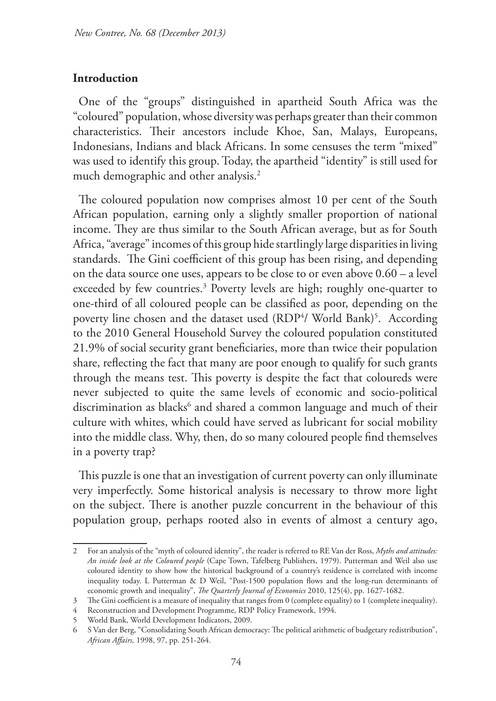#### **Introduction**

One of the "groups" distinguished in apartheid South Africa was the "coloured" population, whose diversity was perhaps greater than their common characteristics. Their ancestors include Khoe, San, Malays, Europeans, Indonesians, Indians and black Africans. In some censuses the term "mixed" was used to identify this group. Today, the apartheid "identity" is still used for much demographic and other analysis.2

The coloured population now comprises almost 10 per cent of the South African population, earning only a slightly smaller proportion of national income. They are thus similar to the South African average, but as for South Africa, "average" incomes of this group hide startlingly large disparities in living standards. The Gini coefficient of this group has been rising, and depending on the data source one uses, appears to be close to or even above 0.60 – a level exceeded by few countries.<sup>3</sup> Poverty levels are high; roughly one-quarter to one-third of all coloured people can be classified as poor, depending on the poverty line chosen and the dataset used (RDP<sup>4</sup>/ World Bank)<sup>5</sup>. According to the 2010 General Household Survey the coloured population constituted 21.9% of social security grant beneficiaries, more than twice their population share, reflecting the fact that many are poor enough to qualify for such grants through the means test. This poverty is despite the fact that coloureds were never subjected to quite the same levels of economic and socio-political discrimination as blacks<sup>6</sup> and shared a common language and much of their culture with whites, which could have served as lubricant for social mobility into the middle class. Why, then, do so many coloured people find themselves in a poverty trap?

This puzzle is one that an investigation of current poverty can only illuminate very imperfectly. Some historical analysis is necessary to throw more light on the subject. There is another puzzle concurrent in the behaviour of this population group, perhaps rooted also in events of almost a century ago,

<sup>2</sup> For an analysis of the "myth of coloured identity", the reader is referred to RE Van der Ross, *Myths and attitudes: An inside look at the Coloured people* (Cape Town, Tafelberg Publishers, 1979). Putterman and Weil also use coloured identity to show how the historical background of a country's residence is correlated with income inequality today. L Putterman & D Weil, "Post-1500 population flows and the long-run determinants of economic growth and inequality", *The Quarterly Journal of Economics* 2010, 125(4), pp. 1627-1682.

<sup>3</sup> The Gini coefficient is a measure of inequality that ranges from 0 (complete equality) to 1 (complete inequality).

<sup>4</sup> Reconstruction and Development Programme, RDP Policy Framework, 1994.

<sup>5</sup> World Bank, World Development Indicators, 2009.

<sup>6</sup> S Van der Berg, "Consolidating South African democracy: The political arithmetic of budgetary redistribution", *African Affairs,* 1998, 97, pp. 251-264.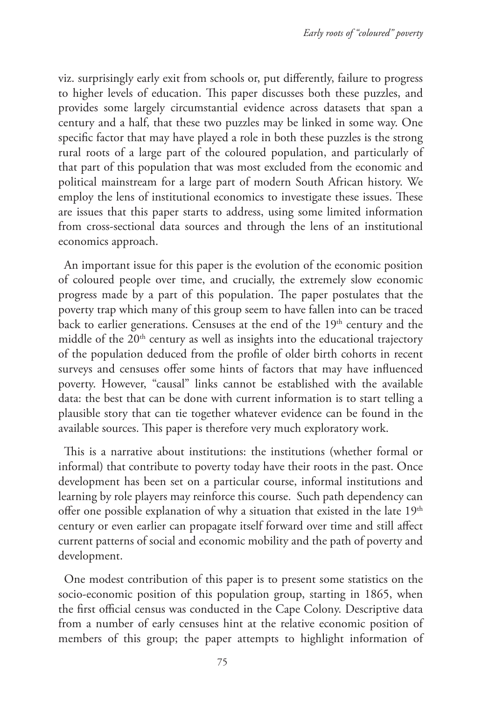viz. surprisingly early exit from schools or, put differently, failure to progress to higher levels of education. This paper discusses both these puzzles, and provides some largely circumstantial evidence across datasets that span a century and a half, that these two puzzles may be linked in some way. One specific factor that may have played a role in both these puzzles is the strong rural roots of a large part of the coloured population, and particularly of that part of this population that was most excluded from the economic and political mainstream for a large part of modern South African history. We employ the lens of institutional economics to investigate these issues. These are issues that this paper starts to address, using some limited information from cross-sectional data sources and through the lens of an institutional economics approach.

An important issue for this paper is the evolution of the economic position of coloured people over time, and crucially, the extremely slow economic progress made by a part of this population. The paper postulates that the poverty trap which many of this group seem to have fallen into can be traced back to earlier generations. Censuses at the end of the 19<sup>th</sup> century and the middle of the  $20<sup>th</sup>$  century as well as insights into the educational trajectory of the population deduced from the profile of older birth cohorts in recent surveys and censuses offer some hints of factors that may have influenced poverty. However, "causal" links cannot be established with the available data: the best that can be done with current information is to start telling a plausible story that can tie together whatever evidence can be found in the available sources. This paper is therefore very much exploratory work.

This is a narrative about institutions: the institutions (whether formal or informal) that contribute to poverty today have their roots in the past. Once development has been set on a particular course, informal institutions and learning by role players may reinforce this course. Such path dependency can offer one possible explanation of why a situation that existed in the late  $19<sup>th</sup>$ century or even earlier can propagate itself forward over time and still affect current patterns of social and economic mobility and the path of poverty and development.

One modest contribution of this paper is to present some statistics on the socio-economic position of this population group, starting in 1865, when the first official census was conducted in the Cape Colony. Descriptive data from a number of early censuses hint at the relative economic position of members of this group; the paper attempts to highlight information of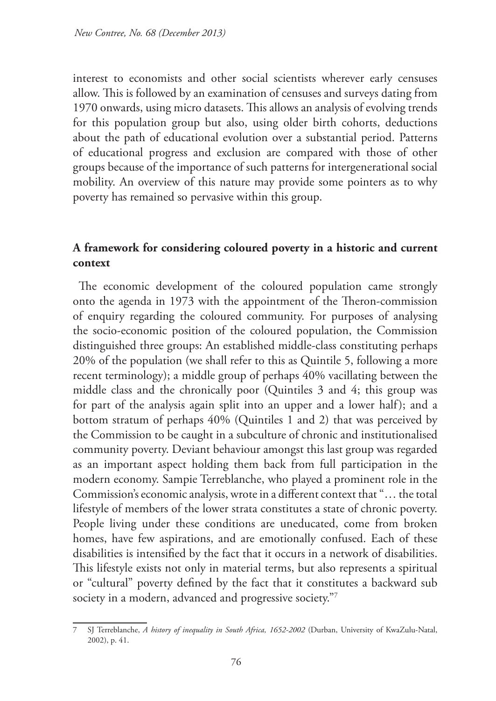interest to economists and other social scientists wherever early censuses allow. This is followed by an examination of censuses and surveys dating from 1970 onwards, using micro datasets. This allows an analysis of evolving trends for this population group but also, using older birth cohorts, deductions about the path of educational evolution over a substantial period. Patterns of educational progress and exclusion are compared with those of other groups because of the importance of such patterns for intergenerational social mobility. An overview of this nature may provide some pointers as to why poverty has remained so pervasive within this group.

# **A framework for considering coloured poverty in a historic and current context**

The economic development of the coloured population came strongly onto the agenda in 1973 with the appointment of the Theron-commission of enquiry regarding the coloured community. For purposes of analysing the socio-economic position of the coloured population, the Commission distinguished three groups: An established middle-class constituting perhaps 20% of the population (we shall refer to this as Quintile 5, following a more recent terminology); a middle group of perhaps 40% vacillating between the middle class and the chronically poor (Quintiles 3 and 4; this group was for part of the analysis again split into an upper and a lower half); and a bottom stratum of perhaps 40% (Quintiles 1 and 2) that was perceived by the Commission to be caught in a subculture of chronic and institutionalised community poverty. Deviant behaviour amongst this last group was regarded as an important aspect holding them back from full participation in the modern economy. Sampie Terreblanche, who played a prominent role in the Commission's economic analysis, wrote in a different context that "… the total lifestyle of members of the lower strata constitutes a state of chronic poverty. People living under these conditions are uneducated, come from broken homes, have few aspirations, and are emotionally confused. Each of these disabilities is intensified by the fact that it occurs in a network of disabilities. This lifestyle exists not only in material terms, but also represents a spiritual or "cultural" poverty defined by the fact that it constitutes a backward sub society in a modern, advanced and progressive society."7

<sup>7</sup> SJ Terreblanche, *A history of inequality in South Africa, 1652-2002* (Durban, University of KwaZulu-Natal, 2002), p. 41.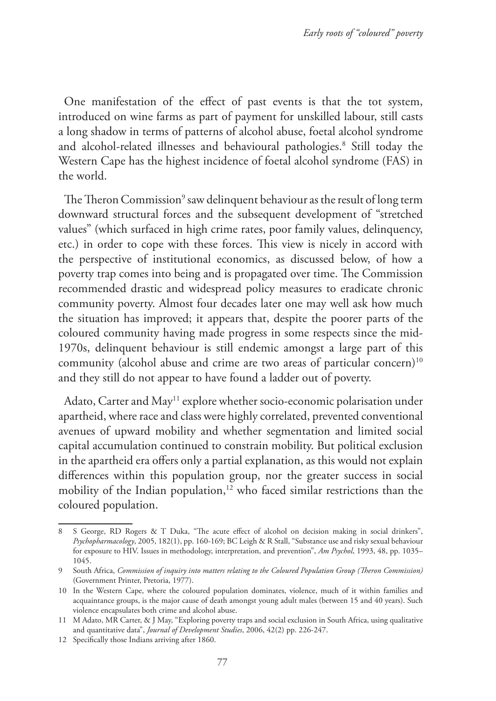One manifestation of the effect of past events is that the tot system, introduced on wine farms as part of payment for unskilled labour, still casts a long shadow in terms of patterns of alcohol abuse, foetal alcohol syndrome and alcohol-related illnesses and behavioural pathologies.<sup>8</sup> Still today the Western Cape has the highest incidence of foetal alcohol syndrome (FAS) in the world.

The Theron Commission<sup>9</sup> saw delinquent behaviour as the result of long term downward structural forces and the subsequent development of "stretched values" (which surfaced in high crime rates, poor family values, delinquency, etc.) in order to cope with these forces. This view is nicely in accord with the perspective of institutional economics, as discussed below, of how a poverty trap comes into being and is propagated over time. The Commission recommended drastic and widespread policy measures to eradicate chronic community poverty. Almost four decades later one may well ask how much the situation has improved; it appears that, despite the poorer parts of the coloured community having made progress in some respects since the mid-1970s, delinquent behaviour is still endemic amongst a large part of this community (alcohol abuse and crime are two areas of particular concern)<sup>10</sup> and they still do not appear to have found a ladder out of poverty.

Adato, Carter and May<sup>11</sup> explore whether socio-economic polarisation under apartheid, where race and class were highly correlated, prevented conventional avenues of upward mobility and whether segmentation and limited social capital accumulation continued to constrain mobility. But political exclusion in the apartheid era offers only a partial explanation, as this would not explain differences within this population group, nor the greater success in social mobility of the Indian population,<sup>12</sup> who faced similar restrictions than the coloured population.

<sup>8</sup> S George, RD Rogers & T Duka, "The acute effect of alcohol on decision making in social drinkers", *Psychopharmacology*, 2005, 182(1), pp. 160-169; BC Leigh & R Stall, "Substance use and risky sexual behaviour for exposure to HIV. Issues in methodology, interpretation, and prevention", *Am Psychol*, 1993, 48, pp. 1035– 1045.

<sup>9</sup> South Africa, *Commission of inquiry into matters relating to the Coloured Population Group (Theron Commission)* (Government Printer, Pretoria, 1977).

<sup>10</sup> In the Western Cape, where the coloured population dominates, violence, much of it within families and acquaintance groups, is the major cause of death amongst young adult males (between 15 and 40 years). Such violence encapsulates both crime and alcohol abuse.

<sup>11</sup> M Adato, MR Carter, & J May, "Exploring poverty traps and social exclusion in South Africa, using qualitative and quantitative data", *Journal of Development Studies*, 2006, 42(2) pp. 226-247.

<sup>12</sup> Specifically those Indians arriving after 1860.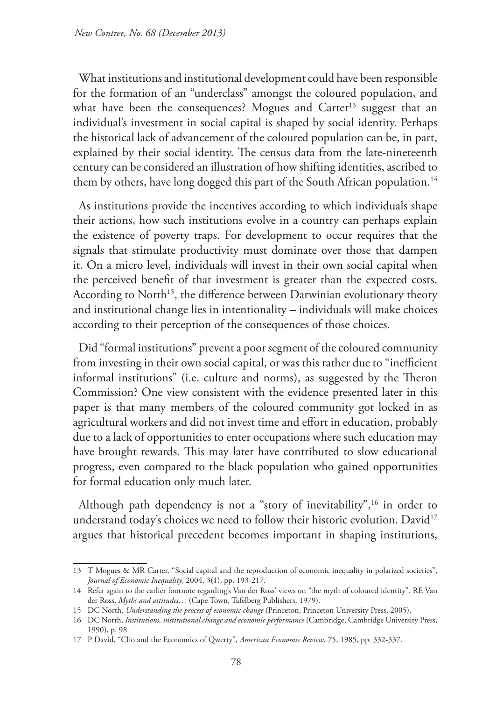What institutions and institutional development could have been responsible for the formation of an "underclass" amongst the coloured population, and what have been the consequences? Mogues and Carter<sup>13</sup> suggest that an individual's investment in social capital is shaped by social identity. Perhaps the historical lack of advancement of the coloured population can be, in part, explained by their social identity. The census data from the late-nineteenth century can be considered an illustration of how shifting identities, ascribed to them by others, have long dogged this part of the South African population.<sup>14</sup>

As institutions provide the incentives according to which individuals shape their actions, how such institutions evolve in a country can perhaps explain the existence of poverty traps. For development to occur requires that the signals that stimulate productivity must dominate over those that dampen it. On a micro level, individuals will invest in their own social capital when the perceived benefit of that investment is greater than the expected costs. According to North<sup>15</sup>, the difference between Darwinian evolutionary theory and institutional change lies in intentionality – individuals will make choices according to their perception of the consequences of those choices.

Did "formal institutions" prevent a poor segment of the coloured community from investing in their own social capital, or was this rather due to "inefficient informal institutions" (i.e. culture and norms), as suggested by the Theron Commission? One view consistent with the evidence presented later in this paper is that many members of the coloured community got locked in as agricultural workers and did not invest time and effort in education, probably due to a lack of opportunities to enter occupations where such education may have brought rewards. This may later have contributed to slow educational progress, even compared to the black population who gained opportunities for formal education only much later.

Although path dependency is not a "story of inevitability",<sup>16</sup> in order to understand today's choices we need to follow their historic evolution. David<sup>17</sup> argues that historical precedent becomes important in shaping institutions,

<sup>13</sup> T Mogues & MR Carter, "Social capital and the reproduction of economic inequality in polarized societies", *Journal of Economic Inequality*, 2004, 3(1), pp. 193-217.

<sup>14</sup> Refer again to the earlier footnote regarding's Van der Ross' views on "the myth of coloured identity". RE Van der Ross, *Myths and attitudes…* (Cape Town, Tafelberg Publishers, 1979).

<sup>15</sup> DC North, *Understanding the process of economic change* (Princeton, Princeton University Press, 2005).

<sup>16</sup> DC North, *Institutions, institutional change and economic performance* (Cambridge, Cambridge University Press, 1990), p. 98.

<sup>17</sup> P David, "Clio and the Economics of Qwerty", *American Economic Review*, 75, 1985, pp. 332-337.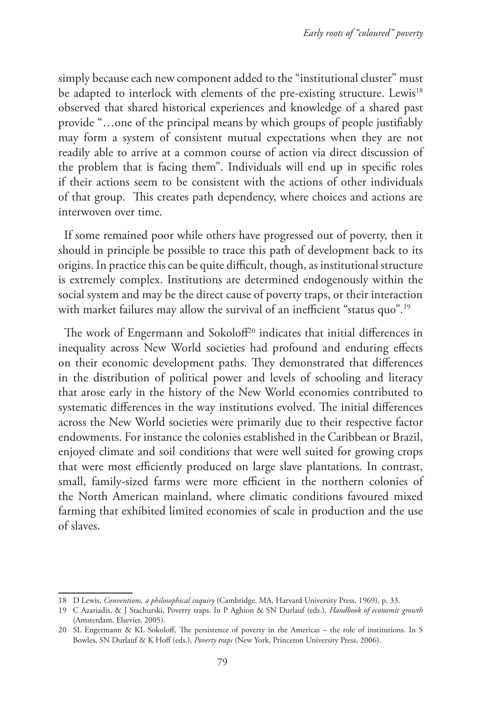simply because each new component added to the "institutional cluster" must be adapted to interlock with elements of the pre-existing structure. Lewis<sup>18</sup> observed that shared historical experiences and knowledge of a shared past provide "…one of the principal means by which groups of people justifiably may form a system of consistent mutual expectations when they are not readily able to arrive at a common course of action via direct discussion of the problem that is facing them". Individuals will end up in specific roles if their actions seem to be consistent with the actions of other individuals of that group. This creates path dependency, where choices and actions are interwoven over time.

If some remained poor while others have progressed out of poverty, then it should in principle be possible to trace this path of development back to its origins. In practice this can be quite difficult, though, as institutional structure is extremely complex. Institutions are determined endogenously within the social system and may be the direct cause of poverty traps, or their interaction with market failures may allow the survival of an inefficient "status quo"*.* 19

The work of Engermann and Sokoloff<sup>20</sup> indicates that initial differences in inequality across New World societies had profound and enduring effects on their economic development paths. They demonstrated that differences in the distribution of political power and levels of schooling and literacy that arose early in the history of the New World economies contributed to systematic differences in the way institutions evolved. The initial differences across the New World societies were primarily due to their respective factor endowments. For instance the colonies established in the Caribbean or Brazil, enjoyed climate and soil conditions that were well suited for growing crops that were most efficiently produced on large slave plantations. In contrast, small, family-sized farms were more efficient in the northern colonies of the North American mainland, where climatic conditions favoured mixed farming that exhibited limited economies of scale in production and the use of slaves.

<sup>18</sup> D Lewis, *Conventions, a philosophical inquiry* (Cambridge, MA, Harvard University Press, 1969), p. 33.

<sup>19</sup> C Azariadis, & J Stachurski, Poverty traps. In P Aghion & SN Durlauf (eds.), *Handbook of economic growth* (Amsterdam, Elsevier, 2005).

<sup>20</sup> SL Engermann & KL Sokoloff, The persistence of poverty in the Americas – the role of institutions. In S Bowles, SN Durlauf & K Hoff (eds.), *Poverty traps* (New York, Princeton University Press, 2006).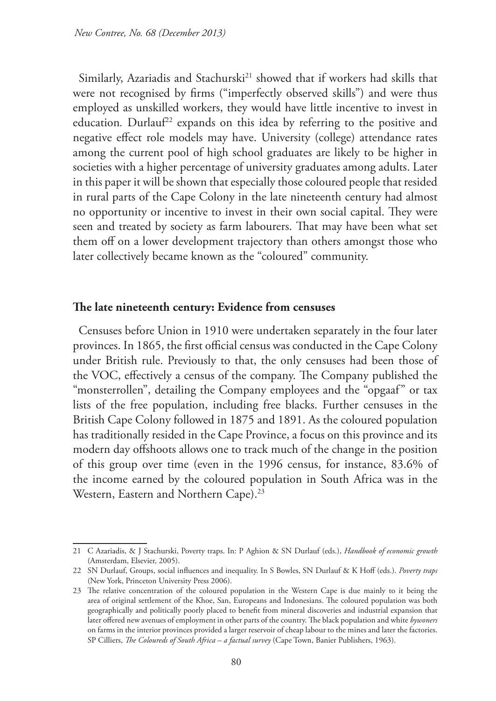Similarly, Azariadis and Stachurski<sup>21</sup> showed that if workers had skills that were not recognised by firms ("imperfectly observed skills") and were thus employed as unskilled workers, they would have little incentive to invest in education. Durlauf<sup>22</sup> expands on this idea by referring to the positive and negative effect role models may have. University (college) attendance rates among the current pool of high school graduates are likely to be higher in societies with a higher percentage of university graduates among adults. Later in this paper it will be shown that especially those coloured people that resided in rural parts of the Cape Colony in the late nineteenth century had almost no opportunity or incentive to invest in their own social capital. They were seen and treated by society as farm labourers. That may have been what set them off on a lower development trajectory than others amongst those who later collectively became known as the "coloured" community.

#### **The late nineteenth century: Evidence from censuses**

Censuses before Union in 1910 were undertaken separately in the four later provinces. In 1865, the first official census was conducted in the Cape Colony under British rule. Previously to that, the only censuses had been those of the VOC, effectively a census of the company. The Company published the "monsterrollen", detailing the Company employees and the "opgaaf" or tax lists of the free population, including free blacks. Further censuses in the British Cape Colony followed in 1875 and 1891. As the coloured population has traditionally resided in the Cape Province, a focus on this province and its modern day offshoots allows one to track much of the change in the position of this group over time (even in the 1996 census, for instance, 83.6% of the income earned by the coloured population in South Africa was in the Western, Eastern and Northern Cape).<sup>23</sup>

<sup>21</sup> C Azariadis, & J Stachurski, Poverty traps. In: P Aghion & SN Durlauf (eds.), *Handbook of economic growth* (Amsterdam, Elsevier, 2005).

<sup>22</sup> SN Durlauf, Groups, social influences and inequality. In S Bowles, SN Durlauf & K Hoff (eds.). *Poverty traps* (New York, Princeton University Press 2006).

<sup>23</sup> The relative concentration of the coloured population in the Western Cape is due mainly to it being the area of original settlement of the Khoe, San, Europeans and Indonesians. The coloured population was both geographically and politically poorly placed to benefit from mineral discoveries and industrial expansion that later offered new avenues of employment in other parts of the country. The black population and white *bywoners* on farms in the interior provinces provided a larger reservoir of cheap labour to the mines and later the factories. SP Cilliers, *The Coloureds of South Africa – a factual survey* (Cape Town, Banier Publishers, 1963).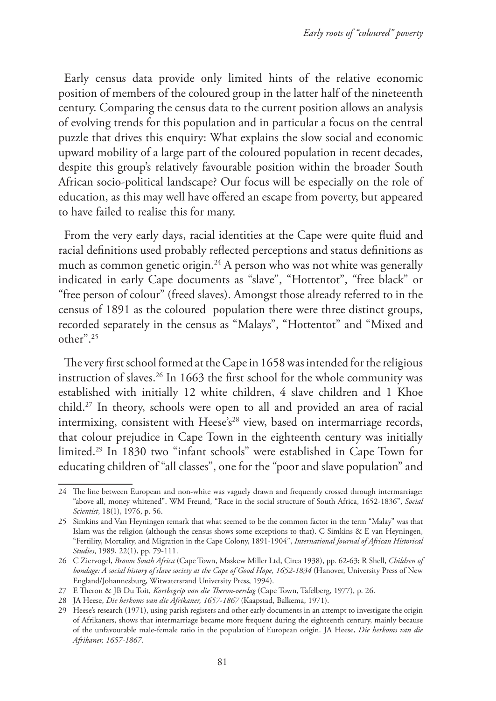Early census data provide only limited hints of the relative economic position of members of the coloured group in the latter half of the nineteenth century. Comparing the census data to the current position allows an analysis of evolving trends for this population and in particular a focus on the central puzzle that drives this enquiry: What explains the slow social and economic upward mobility of a large part of the coloured population in recent decades, despite this group's relatively favourable position within the broader South African socio-political landscape? Our focus will be especially on the role of education, as this may well have offered an escape from poverty, but appeared to have failed to realise this for many.

From the very early days, racial identities at the Cape were quite fluid and racial definitions used probably reflected perceptions and status definitions as much as common genetic origin.<sup>24</sup> A person who was not white was generally indicated in early Cape documents as "slave", "Hottentot", "free black" or "free person of colour" (freed slaves). Amongst those already referred to in the census of 1891 as the coloured population there were three distinct groups, recorded separately in the census as "Malays", "Hottentot" and "Mixed and other".25

The very first school formed at the Cape in 1658 was intended for the religious instruction of slaves.<sup>26</sup> In 1663 the first school for the whole community was established with initially 12 white children, 4 slave children and 1 Khoe child.27 In theory, schools were open to all and provided an area of racial intermixing, consistent with  $Heese's<sup>28</sup>$  view, based on intermarriage records, that colour prejudice in Cape Town in the eighteenth century was initially limited.29 In 1830 two "infant schools" were established in Cape Town for educating children of "all classes", one for the "poor and slave population" and

<sup>24</sup> The line between European and non-white was vaguely drawn and frequently crossed through intermarriage: "above all, money whitened". WM Freund, "Race in the social structure of South Africa, 1652-1836", *Social Scientist*, 18(1), 1976, p. 56.

<sup>25</sup> Simkins and Van Heyningen remark that what seemed to be the common factor in the term "Malay" was that Islam was the religion (although the census shows some exceptions to that). C Simkins & E van Heyningen, "Fertility, Mortality, and Migration in the Cape Colony, 1891-1904", *International Journal of African Historical Studies*, 1989, 22(1), pp. 79-111.

<sup>26</sup> C Ziervogel, *Brown South Africa* (Cape Town, Maskew Miller Ltd, Circa 1938), pp. 62-63; R Shell, *Children of bondage: A social history of slave society at the Cape of Good Hope, 1652-1834* (Hanover, University Press of New England/Johannesburg, Witwatersrand University Press, 1994).

<sup>27</sup> E Theron & JB Du Toit, *Kortbegrip van die Theron-verslag* (Cape Town, Tafelberg, 1977), p. 26.

<sup>28</sup> JA Heese, *Die herkoms van die Afrikaner, 1657-1867* (Kaapstad, Balkema, 1971).

<sup>29</sup> Heese's research (1971), using parish registers and other early documents in an attempt to investigate the origin of Afrikaners, shows that intermarriage became more frequent during the eighteenth century, mainly because of the unfavourable male-female ratio in the population of European origin. JA Heese, *Die herkoms van die Afrikaner, 1657-1867*.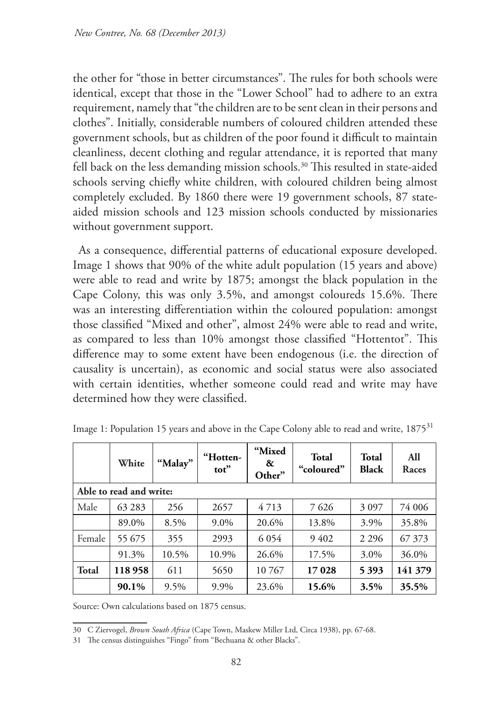the other for "those in better circumstances". The rules for both schools were identical, except that those in the "Lower School" had to adhere to an extra requirement, namely that "the children are to be sent clean in their persons and clothes". Initially, considerable numbers of coloured children attended these government schools, but as children of the poor found it difficult to maintain cleanliness, decent clothing and regular attendance, it is reported that many fell back on the less demanding mission schools.<sup>30</sup> This resulted in state-aided schools serving chiefly white children, with coloured children being almost completely excluded. By 1860 there were 19 government schools, 87 stateaided mission schools and 123 mission schools conducted by missionaries without government support.

As a consequence, differential patterns of educational exposure developed. Image 1 shows that 90% of the white adult population (15 years and above) were able to read and write by 1875; amongst the black population in the Cape Colony, this was only 3.5%, and amongst coloureds 15.6%. There was an interesting differentiation within the coloured population: amongst those classified "Mixed and other", almost 24% were able to read and write, as compared to less than 10% amongst those classified "Hottentot". This difference may to some extent have been endogenous (i.e. the direction of causality is uncertain), as economic and social status were also associated with certain identities, whether someone could read and write may have determined how they were classified.

|                         | White  | "Malay" | "Hotten-<br>tot" | "Mixed<br>&<br>Other" | <b>Total</b><br>"coloured" | <b>Total</b><br><b>Black</b> | All<br>Races |  |  |
|-------------------------|--------|---------|------------------|-----------------------|----------------------------|------------------------------|--------------|--|--|
| Able to read and write: |        |         |                  |                       |                            |                              |              |  |  |
| Male                    | 63 283 | 256     | 2657             | 4713                  | 7626                       | 3 0 9 7                      | 74 006       |  |  |
|                         | 89.0%  | 8.5%    | 9.0%             | 20.6%                 | 13.8%                      | 3.9%                         | 35.8%        |  |  |
| Female                  | 55 675 | 355     | 2993             | 6 0 5 4               | 9402                       | 2 2 9 6                      | 67 373       |  |  |
|                         | 91.3%  | 10.5%   | 10.9%            | 26.6%                 | 17.5%                      | 3.0%                         | 36.0%        |  |  |
| <b>Total</b>            | 118958 | 611     | 5650             | 10767                 | 17028                      | 5 3 9 3                      | 141 379      |  |  |
|                         | 90.1%  | 9.5%    | 9.9%             | 23.6%                 | 15.6%                      | 3.5%                         | 35.5%        |  |  |

Image 1: Population 15 years and above in the Cape Colony able to read and write, 1875<sup>31</sup>

Source: Own calculations based on 1875 census.

<sup>30</sup> C Ziervogel, *Brown South Africa* (Cape Town, Maskew Miller Ltd, Circa 1938), pp. 67-68.

<sup>31</sup> The census distinguishes "Fingo" from "Bechuana & other Blacks".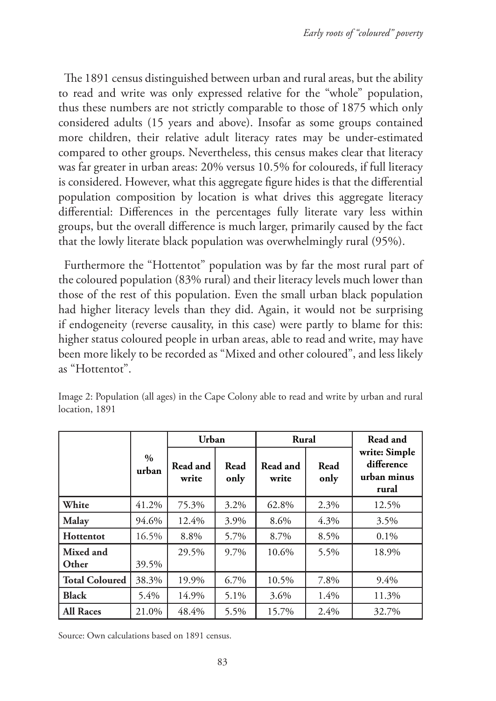The 1891 census distinguished between urban and rural areas, but the ability to read and write was only expressed relative for the "whole" population, thus these numbers are not strictly comparable to those of 1875 which only considered adults (15 years and above). Insofar as some groups contained more children, their relative adult literacy rates may be under-estimated compared to other groups. Nevertheless, this census makes clear that literacy was far greater in urban areas: 20% versus 10.5% for coloureds, if full literacy is considered. However, what this aggregate figure hides is that the differential population composition by location is what drives this aggregate literacy differential: Differences in the percentages fully literate vary less within groups, but the overall difference is much larger, primarily caused by the fact that the lowly literate black population was overwhelmingly rural (95%).

Furthermore the "Hottentot" population was by far the most rural part of the coloured population (83% rural) and their literacy levels much lower than those of the rest of this population. Even the small urban black population had higher literacy levels than they did. Again, it would not be surprising if endogeneity (reverse causality, in this case) were partly to blame for this: higher status coloured people in urban areas, able to read and write, may have been more likely to be recorded as "Mixed and other coloured", and less likely as "Hottentot".

|                       |                        | Urban             |              | Rural             |              | Read and                                            |
|-----------------------|------------------------|-------------------|--------------|-------------------|--------------|-----------------------------------------------------|
|                       | $\frac{0}{0}$<br>urban | Read and<br>write | Read<br>only | Read and<br>write | Read<br>only | write: Simple<br>difference<br>urban minus<br>rural |
| White                 | 41.2%                  | 75.3%             | 3.2%         | 62.8%             | 2.3%         | 12.5%                                               |
| Malay                 | 94.6%                  | 12.4%             | 3.9%         | 8.6%              | 4.3%         | 3.5%                                                |
| Hottentot             | 16.5%                  | 8.8%              | 5.7%         | 8.7%              | 8.5%         | $0.1\%$                                             |
| Mixed and             |                        | 29.5%             | 9.7%         | 10.6%             | 5.5%         | 18.9%                                               |
| Other                 | 39.5%                  |                   |              |                   |              |                                                     |
| <b>Total Coloured</b> | 38.3%                  | 19.9%             | 6.7%         | 10.5%             | 7.8%         | 9.4%                                                |
| <b>Black</b>          | 5.4%                   | 14.9%             | 5.1%         | 3.6%              | 1.4%         | 11.3%                                               |
| <b>All Races</b>      | 21.0%                  | 48.4%             | 5.5%         | 15.7%             | 2.4%         | 32.7%                                               |

Image 2: Population (all ages) in the Cape Colony able to read and write by urban and rural location, 1891

Source: Own calculations based on 1891 census.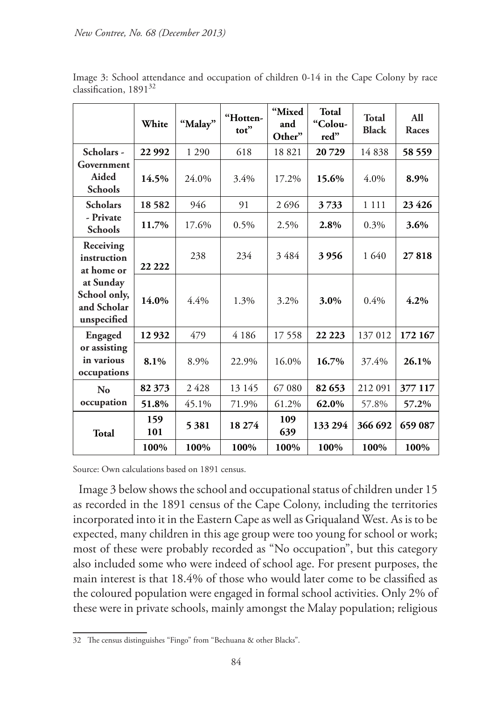|                                                                                                   | White      | "Malay" | "Hotten-<br>tot" | "Mixed<br>and<br>Other" | <b>Total</b><br>"Colou-<br>red" | Total<br><b>Black</b> | All<br>Races |
|---------------------------------------------------------------------------------------------------|------------|---------|------------------|-------------------------|---------------------------------|-----------------------|--------------|
| Scholars -                                                                                        | 22 992     | 1 2 9 0 | 618              | 18821                   | 20729                           | 14838                 | 58 559       |
| Government<br>Aided<br><b>Schools</b>                                                             | 14.5%      | 24.0%   | 3.4%             | 17.2%                   | 15.6%                           | $4.0\%$               | 8.9%         |
| <b>Scholars</b>                                                                                   | 18582      | 946     | 91               | 2696                    | 3733                            | 1 1 1 1               | 23 4 26      |
| - Private<br><b>Schools</b>                                                                       | 11.7%      | 17.6%   | $0.5\%$          | 2.5%                    | 2.8%                            | 0.3%                  | 3.6%         |
| Receiving<br>instruction<br>at home or<br>at Sunday<br>School only,<br>and Scholar<br>unspecified | 22 222     | 238     | 234              | 3484                    | 3956                            | 1 640                 | 27818        |
|                                                                                                   | 14.0%      | 4.4%    | 1.3%             | 3.2%                    | 3.0%                            | 0.4%                  | 4.2%         |
| Engaged                                                                                           | 12932      | 479     | 4 1 8 6          | 17558                   | 22 2 23                         | 137 012               | 172 167      |
| or assisting<br>in various<br>occupations                                                         | 8.1%       | 8.9%    | 22.9%            | 16.0%                   | 16.7%                           | 37.4%                 | 26.1%        |
| N <sub>0</sub>                                                                                    | 82 373     | 2428    | 13 145           | 67 080                  | 82 653                          | 212 091               | 377 117      |
| occupation                                                                                        | 51.8%      | 45.1%   | 71.9%            | 61.2%                   | 62.0%                           | 57.8%                 | 57.2%        |
| Total                                                                                             | 159<br>101 | 5 3 8 1 | 18 274           | 109<br>639              | 133 294                         | 366 692               | 659 087      |
|                                                                                                   | 100%       | 100%    | 100%             | 100%                    | 100%                            | 100%                  | 100%         |

Image 3: School attendance and occupation of children 0-14 in the Cape Colony by race classification, 1891<sup>32</sup>

Source: Own calculations based on 1891 census.

Image 3 below shows the school and occupational status of children under 15 as recorded in the 1891 census of the Cape Colony, including the territories incorporated into it in the Eastern Cape as well as Griqualand West. As is to be expected, many children in this age group were too young for school or work; most of these were probably recorded as "No occupation", but this category also included some who were indeed of school age. For present purposes, the main interest is that 18.4% of those who would later come to be classified as the coloured population were engaged in formal school activities. Only 2% of these were in private schools, mainly amongst the Malay population; religious

<sup>32</sup> The census distinguishes "Fingo" from "Bechuana & other Blacks".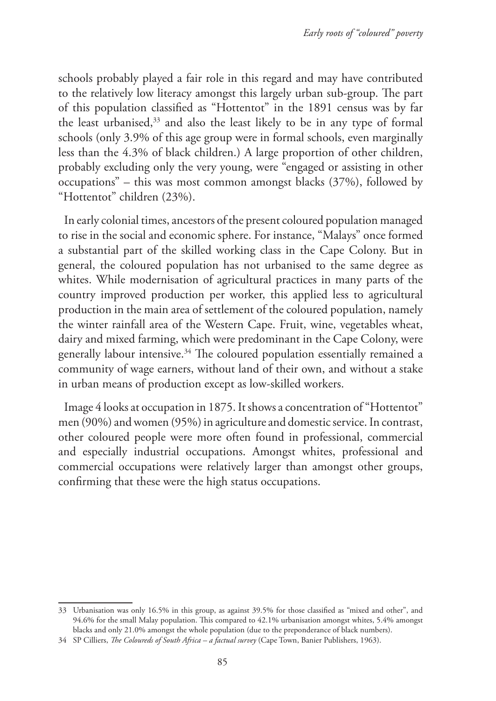schools probably played a fair role in this regard and may have contributed to the relatively low literacy amongst this largely urban sub-group. The part of this population classified as "Hottentot" in the 1891 census was by far the least urbanised,<sup>33</sup> and also the least likely to be in any type of formal schools (only 3.9% of this age group were in formal schools, even marginally less than the 4.3% of black children.) A large proportion of other children, probably excluding only the very young, were "engaged or assisting in other occupations" – this was most common amongst blacks (37%), followed by "Hottentot" children (23%).

In early colonial times, ancestors of the present coloured population managed to rise in the social and economic sphere. For instance, "Malays" once formed a substantial part of the skilled working class in the Cape Colony. But in general, the coloured population has not urbanised to the same degree as whites. While modernisation of agricultural practices in many parts of the country improved production per worker, this applied less to agricultural production in the main area of settlement of the coloured population, namely the winter rainfall area of the Western Cape. Fruit, wine, vegetables wheat, dairy and mixed farming, which were predominant in the Cape Colony, were generally labour intensive.<sup>34</sup> The coloured population essentially remained a community of wage earners, without land of their own, and without a stake in urban means of production except as low-skilled workers.

Image 4 looks at occupation in 1875. It shows a concentration of "Hottentot" men (90%) and women (95%) in agriculture and domestic service. In contrast, other coloured people were more often found in professional, commercial and especially industrial occupations. Amongst whites, professional and commercial occupations were relatively larger than amongst other groups, confirming that these were the high status occupations.

<sup>33</sup> Urbanisation was only 16.5% in this group, as against 39.5% for those classified as "mixed and other", and 94.6% for the small Malay population. This compared to 42.1% urbanisation amongst whites, 5.4% amongst blacks and only 21.0% amongst the whole population (due to the preponderance of black numbers).

<sup>34</sup> SP Cilliers, *The Coloureds of South Africa – a factual survey* (Cape Town, Banier Publishers, 1963).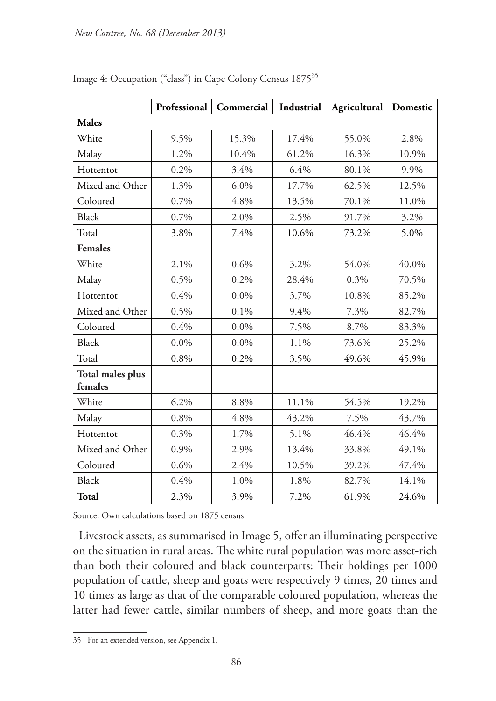|                                    | Professional | Commercial | Industrial | Agricultural | Domestic |
|------------------------------------|--------------|------------|------------|--------------|----------|
| <b>Males</b>                       |              |            |            |              |          |
| White                              | 9.5%         | 15.3%      | 17.4%      | 55.0%        | 2.8%     |
| Malay                              | 1.2%         | 10.4%      | 61.2%      | 16.3%        | 10.9%    |
| Hottentot                          | 0.2%         | 3.4%       | 6.4%       | 80.1%        | 9.9%     |
| Mixed and Other                    | 1.3%         | $6.0\%$    | 17.7%      | 62.5%        | 12.5%    |
| Coloured                           | 0.7%         | 4.8%       | 13.5%      | 70.1%        | 11.0%    |
| <b>Black</b>                       | 0.7%         | 2.0%       | 2.5%       | 91.7%        | 3.2%     |
| Total                              | 3.8%         | 7.4%       | 10.6%      | 73.2%        | 5.0%     |
| <b>Females</b>                     |              |            |            |              |          |
| White                              | 2.1%         | 0.6%       | 3.2%       | 54.0%        | 40.0%    |
| Malay                              | 0.5%         | 0.2%       | 28.4%      | 0.3%         | 70.5%    |
| Hottentot                          | 0.4%         | $0.0\%$    | 3.7%       | 10.8%        | 85.2%    |
| Mixed and Other                    | 0.5%         | 0.1%       | 9.4%       | 7.3%         | 82.7%    |
| Coloured                           | 0.4%         | $0.0\%$    | 7.5%       | 8.7%         | 83.3%    |
| <b>Black</b>                       | $0.0\%$      | $0.0\%$    | 1.1%       | 73.6%        | 25.2%    |
| Total                              | 0.8%         | 0.2%       | 3.5%       | 49.6%        | 45.9%    |
| <b>Total males plus</b><br>females |              |            |            |              |          |
| White                              | 6.2%         | 8.8%       | 11.1%      | 54.5%        | 19.2%    |
| Malay                              | 0.8%         | 4.8%       | 43.2%      | 7.5%         | 43.7%    |
| Hottentot                          | 0.3%         | 1.7%       | 5.1%       | 46.4%        | 46.4%    |
| Mixed and Other                    | 0.9%         | 2.9%       | 13.4%      | 33.8%        | 49.1%    |
| Coloured                           | 0.6%         | 2.4%       | 10.5%      | 39.2%        | 47.4%    |
| <b>Black</b>                       | 0.4%         | 1.0%       | 1.8%       | 82.7%        | 14.1%    |
| <b>Total</b>                       | 2.3%         | 3.9%       | 7.2%       | 61.9%        | 24.6%    |

Image 4: Occupation ("class") in Cape Colony Census 187535

Source: Own calculations based on 1875 census.

Livestock assets, as summarised in Image 5, offer an illuminating perspective on the situation in rural areas. The white rural population was more asset-rich than both their coloured and black counterparts: Their holdings per 1000 population of cattle, sheep and goats were respectively 9 times, 20 times and 10 times as large as that of the comparable coloured population, whereas the latter had fewer cattle, similar numbers of sheep, and more goats than the

<sup>35</sup> For an extended version, see Appendix 1.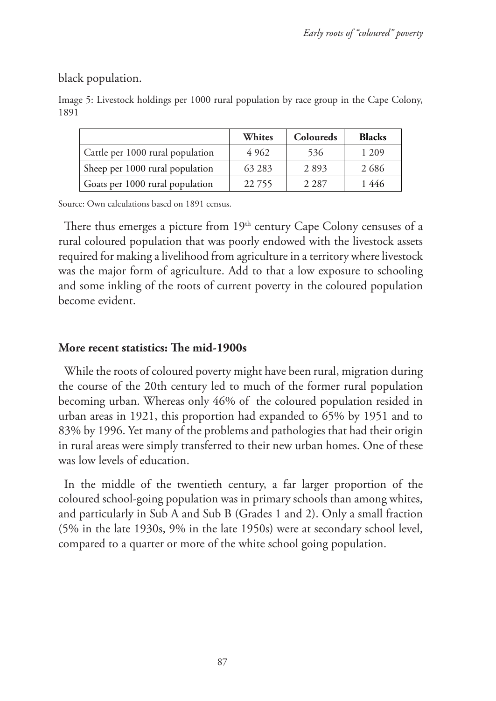black population.

|                                  | Whites  | Coloureds | <b>Blacks</b> |
|----------------------------------|---------|-----------|---------------|
| Cattle per 1000 rural population | 4 9 6 2 | 536       | 1 209         |
| Sheep per 1000 rural population  | 63 283  | 2893      | 2686          |
| Goats per 1000 rural population  | 22755   | 2 2 8 7   | 1 446         |

Image 5: Livestock holdings per 1000 rural population by race group in the Cape Colony, 1891

Source: Own calculations based on 1891 census.

There thus emerges a picture from  $19<sup>th</sup>$  century Cape Colony censuses of a rural coloured population that was poorly endowed with the livestock assets required for making a livelihood from agriculture in a territory where livestock was the major form of agriculture. Add to that a low exposure to schooling and some inkling of the roots of current poverty in the coloured population become evident.

### **More recent statistics: The mid-1900s**

While the roots of coloured poverty might have been rural, migration during the course of the 20th century led to much of the former rural population becoming urban. Whereas only 46% of the coloured population resided in urban areas in 1921, this proportion had expanded to 65% by 1951 and to 83% by 1996. Yet many of the problems and pathologies that had their origin in rural areas were simply transferred to their new urban homes. One of these was low levels of education.

In the middle of the twentieth century, a far larger proportion of the coloured school-going population was in primary schools than among whites, and particularly in Sub A and Sub B (Grades 1 and 2). Only a small fraction (5% in the late 1930s, 9% in the late 1950s) were at secondary school level, compared to a quarter or more of the white school going population.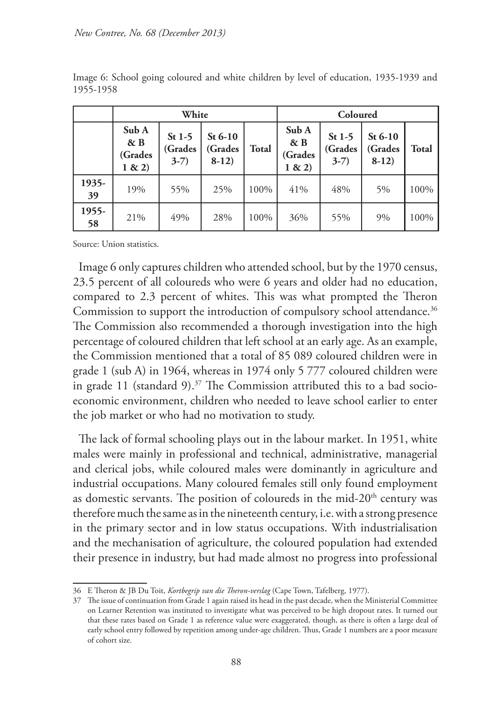|             | White                                 |                              |                                |       | Coloured                                 |                              |                                 |       |
|-------------|---------------------------------------|------------------------------|--------------------------------|-------|------------------------------------------|------------------------------|---------------------------------|-------|
|             | Sub A<br>$\& B$<br>(Grades<br>1 & (2) | $St1-5$<br>(Grades<br>$3-7)$ | $St6-10$<br>(Grades<br>$8-12)$ | Total | Sub A<br>& <b>B</b><br>(Grades<br>1 & 2) | $St1-5$<br>(Grades<br>$3-7)$ | St $6-10$<br>(Grades<br>$8-12)$ | Total |
| 1935-<br>39 | 19%                                   | 55%                          | 25%                            | 100%  | 41%                                      | 48%                          | 5%                              | 100%  |
| 1955-<br>58 | 21%                                   | 49%                          | 28%                            | 100%  | 36%                                      | 55%                          | 9%                              | 100%  |

Image 6: School going coloured and white children by level of education, 1935-1939 and 1955-1958

Source: Union statistics.

Image 6 only captures children who attended school, but by the 1970 census, 23.5 percent of all coloureds who were 6 years and older had no education, compared to 2.3 percent of whites. This was what prompted the Theron Commission to support the introduction of compulsory school attendance.<sup>36</sup> The Commission also recommended a thorough investigation into the high percentage of coloured children that left school at an early age. As an example, the Commission mentioned that a total of 85 089 coloured children were in grade 1 (sub A) in 1964, whereas in 1974 only 5 777 coloured children were in grade 11 (standard 9).<sup>37</sup> The Commission attributed this to a bad socioeconomic environment, children who needed to leave school earlier to enter the job market or who had no motivation to study.

The lack of formal schooling plays out in the labour market. In 1951, white males were mainly in professional and technical, administrative, managerial and clerical jobs, while coloured males were dominantly in agriculture and industrial occupations. Many coloured females still only found employment as domestic servants. The position of coloureds in the mid-20<sup>th</sup> century was therefore much the same as in the nineteenth century, i.e. with a strong presence in the primary sector and in low status occupations. With industrialisation and the mechanisation of agriculture, the coloured population had extended their presence in industry, but had made almost no progress into professional

<sup>36</sup> E Theron & JB Du Toit, *Kortbegrip van die Theron-verslag* (Cape Town, Tafelberg, 1977).

<sup>37</sup> The issue of continuation from Grade 1 again raised its head in the past decade, when the Ministerial Committee on Learner Retention was instituted to investigate what was perceived to be high dropout rates. It turned out that these rates based on Grade 1 as reference value were exaggerated, though, as there is often a large deal of early school entry followed by repetition among under-age children. Thus, Grade 1 numbers are a poor measure of cohort size.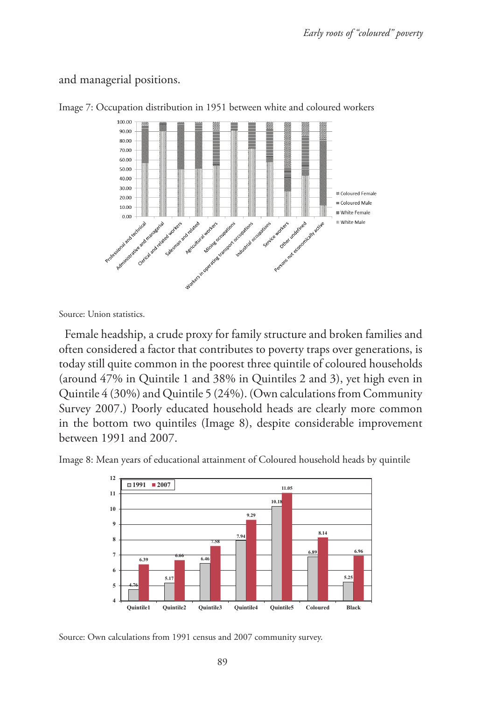and managerial positions.



Image 7: Occupation distribution in 1951 between white and coloured workers

Source: Union statistics.

Female headship, a crude proxy for family structure and broken families and often considered a factor that contributes to poverty traps over generations, is today still quite common in the poorest three quintile of coloured households (around 47% in Quintile 1 and 38% in Quintiles 2 and 3), yet high even in Quintile 4 (30%) and Quintile 5 (24%). (Own calculations from Community Survey 2007.) Poorly educated household heads are clearly more common in the bottom two quintiles (Image 8), despite considerable improvement between 1991 and 2007.

Image 8: Mean years of educational attainment of Coloured household heads by quintile



Source: Own calculations from 1991 census and 2007 community survey.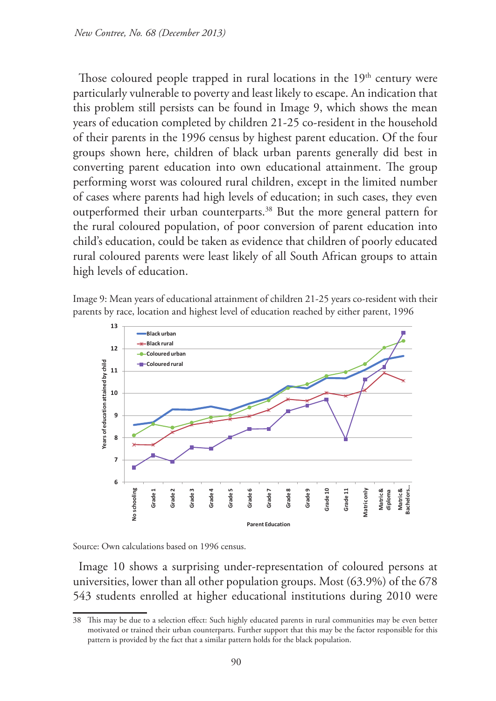Those coloured people trapped in rural locations in the 19<sup>th</sup> century were particularly vulnerable to poverty and least likely to escape. An indication that this problem still persists can be found in Image 9, which shows the mean years of education completed by children 21-25 co-resident in the household of their parents in the 1996 census by highest parent education. Of the four groups shown here, children of black urban parents generally did best in converting parent education into own educational attainment. The group performing worst was coloured rural children, except in the limited number of cases where parents had high levels of education; in such cases, they even outperformed their urban counterparts.<sup>38</sup> But the more general pattern for the rural coloured population, of poor conversion of parent education into child's education, could be taken as evidence that children of poorly educated rural coloured parents were least likely of all South African groups to attain high levels of education.





Source: Own calculations based on 1996 census.

Image 10 shows a surprising under-representation of coloured persons at universities, lower than all other population groups. Most (63.9%) of the 678 543 students enrolled at higher educational institutions during 2010 were

<sup>38</sup> This may be due to a selection effect: Such highly educated parents in rural communities may be even better motivated or trained their urban counterparts. Further support that this may be the factor responsible for this pattern is provided by the fact that a similar pattern holds for the black population.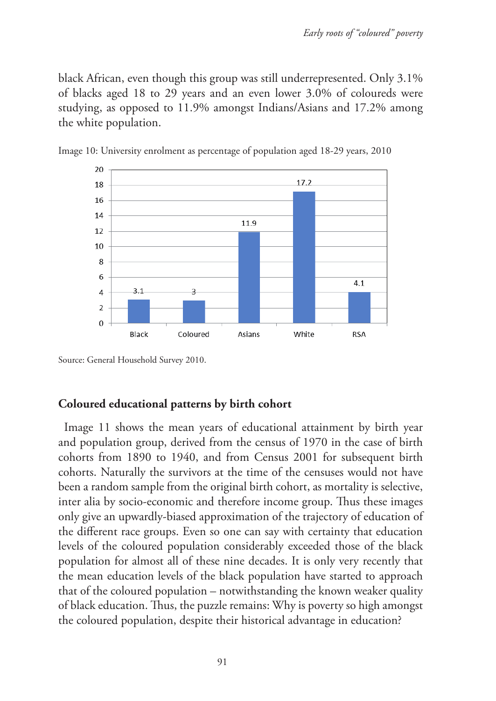black African, even though this group was still underrepresented. Only 3.1% of blacks aged 18 to 29 years and an even lower 3.0% of coloureds were studying, as opposed to 11.9% amongst Indians/Asians and 17.2% among the white population.





### **Coloured educational patterns by birth cohort**

Image 11 shows the mean years of educational attainment by birth year and population group, derived from the census of 1970 in the case of birth cohorts from 1890 to 1940, and from Census 2001 for subsequent birth cohorts. Naturally the survivors at the time of the censuses would not have been a random sample from the original birth cohort, as mortality is selective, inter alia by socio-economic and therefore income group. Thus these images only give an upwardly-biased approximation of the trajectory of education of the different race groups. Even so one can say with certainty that education levels of the coloured population considerably exceeded those of the black population for almost all of these nine decades. It is only very recently that the mean education levels of the black population have started to approach that of the coloured population – notwithstanding the known weaker quality of black education. Thus, the puzzle remains: Why is poverty so high amongst the coloured population, despite their historical advantage in education?

Source: General Household Survey 2010.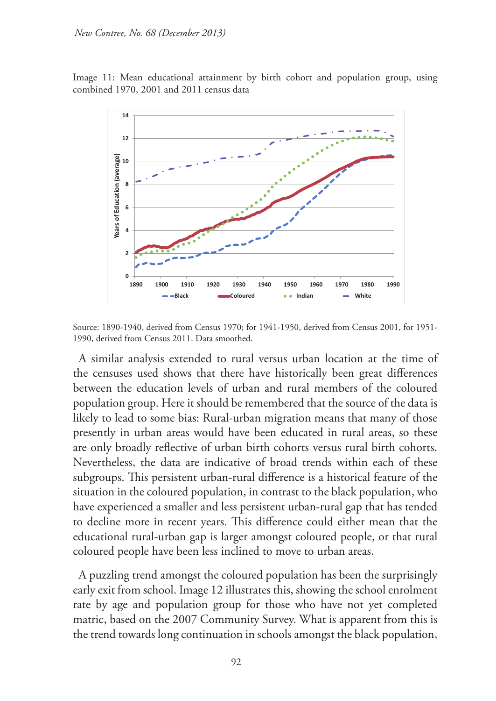Image 11: Mean educational attainment by birth cohort and population group, using combined 1970, 2001 and 2011 census data



Source: 1890-1940, derived from Census 1970; for 1941-1950, derived from Census 2001, for 1951- 1990, derived from Census 2011. Data smoothed.

A similar analysis extended to rural versus urban location at the time of the censuses used shows that there have historically been great differences between the education levels of urban and rural members of the coloured population group. Here it should be remembered that the source of the data is likely to lead to some bias: Rural-urban migration means that many of those presently in urban areas would have been educated in rural areas, so these are only broadly reflective of urban birth cohorts versus rural birth cohorts. Nevertheless, the data are indicative of broad trends within each of these subgroups. This persistent urban-rural difference is a historical feature of the situation in the coloured population, in contrast to the black population, who have experienced a smaller and less persistent urban-rural gap that has tended to decline more in recent years. This difference could either mean that the educational rural-urban gap is larger amongst coloured people, or that rural coloured people have been less inclined to move to urban areas.

A puzzling trend amongst the coloured population has been the surprisingly early exit from school. Image 12 illustrates this, showing the school enrolment rate by age and population group for those who have not yet completed matric, based on the 2007 Community Survey. What is apparent from this is the trend towards long continuation in schools amongst the black population,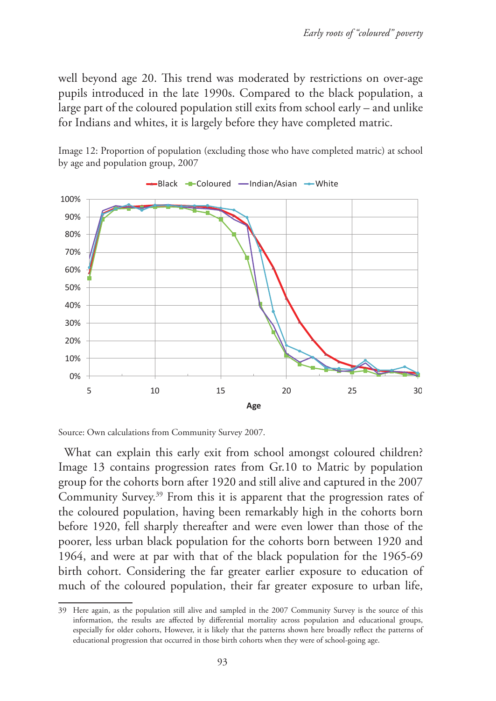well beyond age 20. This trend was moderated by restrictions on over-age pupils introduced in the late 1990s. Compared to the black population, a large part of the coloured population still exits from school early – and unlike for Indians and whites, it is largely before they have completed matric.



Image 12: Proportion of population (excluding those who have completed matric) at school by age and population group, 2007

What can explain this early exit from school amongst coloured children? Image 13 contains progression rates from Gr.10 to Matric by population group for the cohorts born after 1920 and still alive and captured in the 2007 Community Survey.39 From this it is apparent that the progression rates of the coloured population, having been remarkably high in the cohorts born before 1920, fell sharply thereafter and were even lower than those of the poorer, less urban black population for the cohorts born between 1920 and 1964, and were at par with that of the black population for the 1965-69 birth cohort. Considering the far greater earlier exposure to education of much of the coloured population, their far greater exposure to urban life,

Source: Own calculations from Community Survey 2007.

<sup>39</sup> Here again, as the population still alive and sampled in the 2007 Community Survey is the source of this information, the results are affected by differential mortality across population and educational groups, especially for older cohorts, However, it is likely that the patterns shown here broadly reflect the patterns of educational progression that occurred in those birth cohorts when they were of school-going age.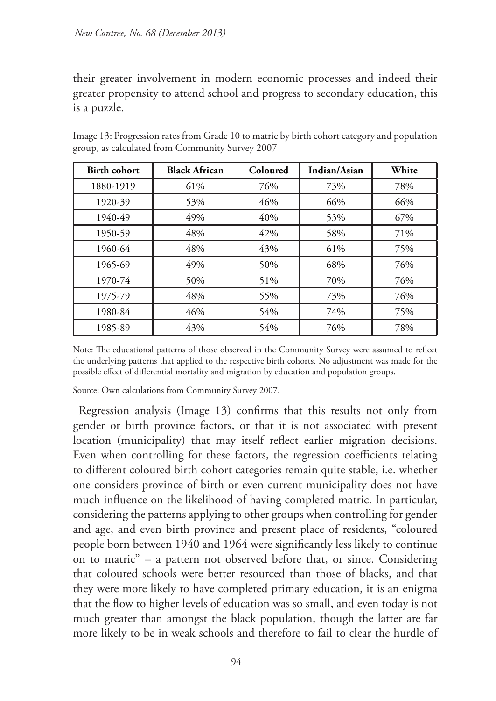their greater involvement in modern economic processes and indeed their greater propensity to attend school and progress to secondary education, this is a puzzle.

| <b>Birth cohort</b> | <b>Black African</b> | Coloured | Indian/Asian | White |
|---------------------|----------------------|----------|--------------|-------|
| 1880-1919           | 61%                  | 76%      | 73%          | 78%   |
| 1920-39             | 53%                  | 46%      | 66%          | 66%   |
| 1940-49             | 49%                  | 40%      | 53%          | 67%   |
| 1950-59             | 48%                  | 42%      | 58%          | 71%   |
| 1960-64             | 48%                  | 43%      | 61%          | 75%   |
| 1965-69             | 49%                  | 50%      | 68%          | 76%   |
| 1970-74             | 50%                  | 51%      | 70%          | 76%   |
| 1975-79             | 48%                  | 55%      | 73%          | 76%   |
| 1980-84             | 46%                  | 54%      | 74%          | 75%   |
| 1985-89             | 43%                  | 54%      | 76%          | 78%   |

Image 13: Progression rates from Grade 10 to matric by birth cohort category and population group, as calculated from Community Survey 2007

Note: The educational patterns of those observed in the Community Survey were assumed to reflect the underlying patterns that applied to the respective birth cohorts. No adjustment was made for the possible effect of differential mortality and migration by education and population groups.

Source: Own calculations from Community Survey 2007.

Regression analysis (Image 13) confirms that this results not only from gender or birth province factors, or that it is not associated with present location (municipality) that may itself reflect earlier migration decisions. Even when controlling for these factors, the regression coefficients relating to different coloured birth cohort categories remain quite stable, i.e. whether one considers province of birth or even current municipality does not have much influence on the likelihood of having completed matric. In particular, considering the patterns applying to other groups when controlling for gender and age, and even birth province and present place of residents, "coloured people born between 1940 and 1964 were significantly less likely to continue on to matric" – a pattern not observed before that, or since. Considering that coloured schools were better resourced than those of blacks, and that they were more likely to have completed primary education, it is an enigma that the flow to higher levels of education was so small, and even today is not much greater than amongst the black population, though the latter are far more likely to be in weak schools and therefore to fail to clear the hurdle of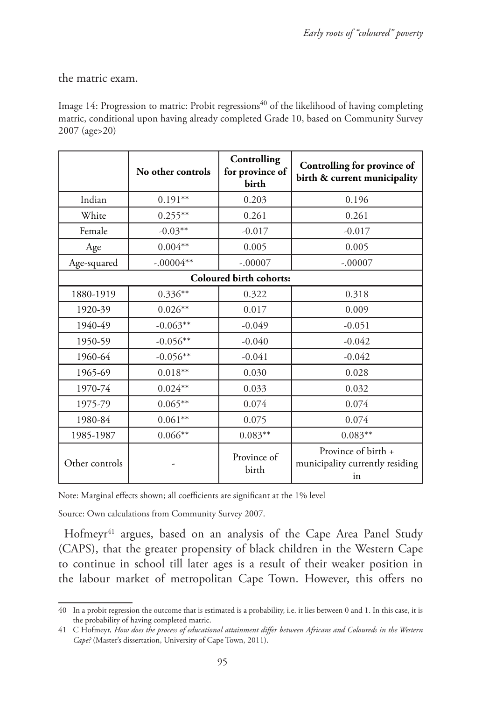the matric exam.

Image 14: Progression to matric: Probit regressions<sup>40</sup> of the likelihood of having completing matric, conditional upon having already completed Grade 10, based on Community Survey 2007 (age>20)

|                         | No other controls | Controlling<br>for province of<br>birth | Controlling for province of<br>birth & current municipality  |  |  |  |  |  |
|-------------------------|-------------------|-----------------------------------------|--------------------------------------------------------------|--|--|--|--|--|
| Indian                  | $0.191**$         | 0.203                                   | 0.196                                                        |  |  |  |  |  |
| White                   | $0.255***$        | 0.261                                   | 0.261                                                        |  |  |  |  |  |
| Female                  | $-0.03**$         | $-0.017$                                | $-0.017$                                                     |  |  |  |  |  |
| Age                     | $0.004**$         | 0.005                                   | 0.005                                                        |  |  |  |  |  |
| Age-squared             | $-.00004**$       | $-.00007$                               | $-.00007$                                                    |  |  |  |  |  |
| Coloured birth cohorts: |                   |                                         |                                                              |  |  |  |  |  |
| 1880-1919               | $0.336**$         | 0.322                                   | 0.318                                                        |  |  |  |  |  |
| 1920-39                 | $0.026**$         | 0.017                                   | 0.009                                                        |  |  |  |  |  |
| 1940-49                 | $-0.063**$        | $-0.049$                                | $-0.051$                                                     |  |  |  |  |  |
| 1950-59                 | $-0.056**$        | $-0.040$                                | $-0.042$                                                     |  |  |  |  |  |
| 1960-64                 | $-0.056**$        | $-0.041$                                | $-0.042$                                                     |  |  |  |  |  |
| 1965-69                 | $0.018**$         | 0.030                                   | 0.028                                                        |  |  |  |  |  |
| 1970-74                 | $0.024**$         | 0.033                                   | 0.032                                                        |  |  |  |  |  |
| 1975-79                 | $0.065**$         | 0.074                                   | 0.074                                                        |  |  |  |  |  |
| 1980-84                 | $0.061**$         | 0.075                                   | 0.074                                                        |  |  |  |  |  |
| 1985-1987               | $0.066**$         | $0.083**$                               | $0.083**$                                                    |  |  |  |  |  |
| Other controls          |                   | Province of<br>birth                    | Province of birth +<br>municipality currently residing<br>in |  |  |  |  |  |

Note: Marginal effects shown; all coefficients are significant at the 1% level

Source: Own calculations from Community Survey 2007.

Hofmeyr<sup>41</sup> argues, based on an analysis of the Cape Area Panel Study (CAPS), that the greater propensity of black children in the Western Cape to continue in school till later ages is a result of their weaker position in the labour market of metropolitan Cape Town. However, this offers no

<sup>40</sup> In a probit regression the outcome that is estimated is a probability, i.e. it lies between 0 and 1. In this case, it is the probability of having completed matric.

<sup>41</sup> C Hofmeyr, *How does the process of educational attainment differ between Africans and Coloureds in the Western Cape?* (Master's dissertation, University of Cape Town, 2011).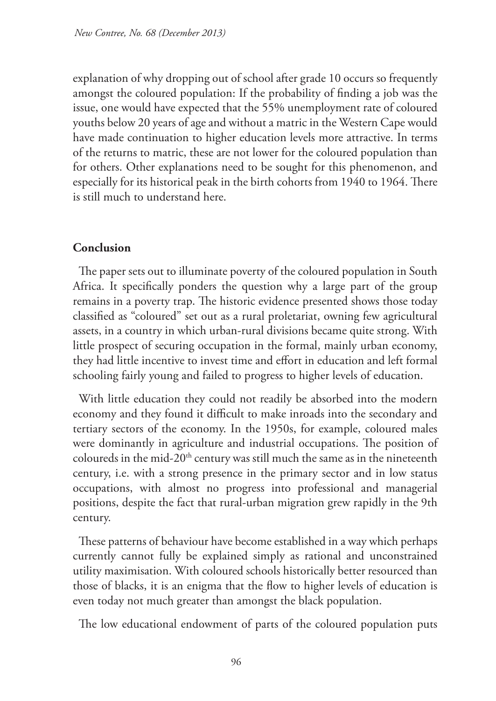explanation of why dropping out of school after grade 10 occurs so frequently amongst the coloured population: If the probability of finding a job was the issue, one would have expected that the 55% unemployment rate of coloured youths below 20 years of age and without a matric in the Western Cape would have made continuation to higher education levels more attractive. In terms of the returns to matric, these are not lower for the coloured population than for others. Other explanations need to be sought for this phenomenon, and especially for its historical peak in the birth cohorts from 1940 to 1964. There is still much to understand here.

# **Conclusion**

The paper sets out to illuminate poverty of the coloured population in South Africa. It specifically ponders the question why a large part of the group remains in a poverty trap. The historic evidence presented shows those today classified as "coloured" set out as a rural proletariat, owning few agricultural assets, in a country in which urban-rural divisions became quite strong. With little prospect of securing occupation in the formal, mainly urban economy, they had little incentive to invest time and effort in education and left formal schooling fairly young and failed to progress to higher levels of education.

With little education they could not readily be absorbed into the modern economy and they found it difficult to make inroads into the secondary and tertiary sectors of the economy. In the 1950s, for example, coloured males were dominantly in agriculture and industrial occupations. The position of coloureds in the mid-20<sup>th</sup> century was still much the same as in the nineteenth century, i.e. with a strong presence in the primary sector and in low status occupations, with almost no progress into professional and managerial positions, despite the fact that rural-urban migration grew rapidly in the 9th century.

These patterns of behaviour have become established in a way which perhaps currently cannot fully be explained simply as rational and unconstrained utility maximisation. With coloured schools historically better resourced than those of blacks, it is an enigma that the flow to higher levels of education is even today not much greater than amongst the black population.

The low educational endowment of parts of the coloured population puts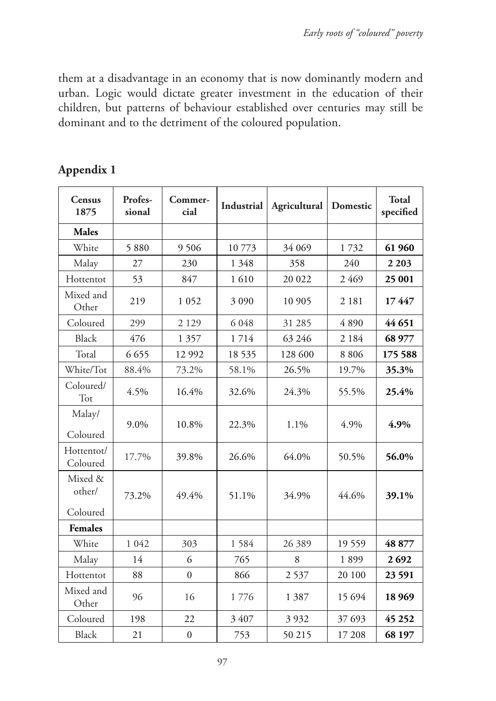them at a disadvantage in an economy that is now dominantly modern and urban. Logic would dictate greater investment in the education of their children, but patterns of behaviour established over centuries may still be dominant and to the detriment of the coloured population.

| Census<br>1875                | Profes-<br>sional | Commer-<br>cial  | Industrial | Agricultural | Domestic | <b>Total</b><br>specified |
|-------------------------------|-------------------|------------------|------------|--------------|----------|---------------------------|
| <b>Males</b>                  |                   |                  |            |              |          |                           |
| White                         | 5880              | 9 5 0 6          | 10773      | 34 069       | 1732     | 61 960                    |
| Malay                         | 27                | 230              | 1 3 4 8    | 358          | 240      | 2 2 0 3                   |
| Hottentot                     | 53                | 847              | 1610       | 20 022       | 2 4 6 9  | 25 001                    |
| Mixed and<br>Other            | 219               | 1052             | 3 0 9 0    | 10 905       | 2 1 8 1  | 17447                     |
| Coloured                      | 299               | 2 1 2 9          | 6 0 48     | 31 285       | 4890     | 44 651                    |
| <b>Black</b>                  | 476               | 1 3 5 7          | 1714       | 63 246       | 2 1 8 4  | 68 977                    |
| Total                         | 6 6 5 5           | 12 992           | 18 5 35    | 128 600      | 8 8 0 6  | 175 588                   |
| White/Tot                     | 88.4%             | 73.2%            | 58.1%      | 26.5%        | 19.7%    | 35.3%                     |
| Coloured/<br>Tot              | 4.5%              | 16.4%            | 32.6%      | 24.3%        | 55.5%    | 25.4%                     |
| Malay/<br>Coloured            | 9.0%              | 10.8%            | 22.3%      | 1.1%         | 4.9%     | 4.9%                      |
| Hottentot/<br>Coloured        | 17.7%             | 39.8%            | 26.6%      | 64.0%        | 50.5%    | 56.0%                     |
| Mixed &<br>other/<br>Coloured | 73.2%             | 49.4%            | 51.1%      | 34.9%        | 44.6%    | 39.1%                     |
| <b>Females</b>                |                   |                  |            |              |          |                           |
| White                         | 1 0 4 2           | 303              | 1584       | 26 389       | 19559    | 48 877                    |
| Malay                         | 14                | 6                | 765        | 8            | 1899     | 2692                      |
| Hottentot                     | 88                | $\overline{0}$   | 866        | 2537         | 20 100   | 23 591                    |
| Mixed and<br>Other            | 96                | 16               | 1776       | 1 3 8 7      | 15 694   | 18 9 69                   |
| Coloured                      | 198               | 22               | 3 407      | 3 9 3 2      | 37 693   | 45 25 2                   |
| <b>Black</b>                  | 21                | $\boldsymbol{0}$ | 753        | 50 215       | 17 208   | 68 197                    |

# **Appendix 1**